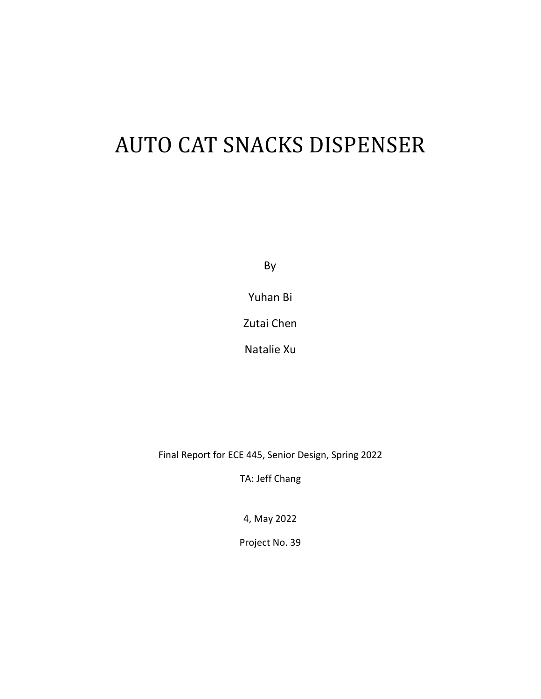# AUTO CAT SNACKS DISPENSER

By

Yuhan Bi

Zutai Chen

Natalie Xu

Final Report for ECE 445, Senior Design, Spring 2022

TA: Jeff Chang

4, May 2022

Project No. 39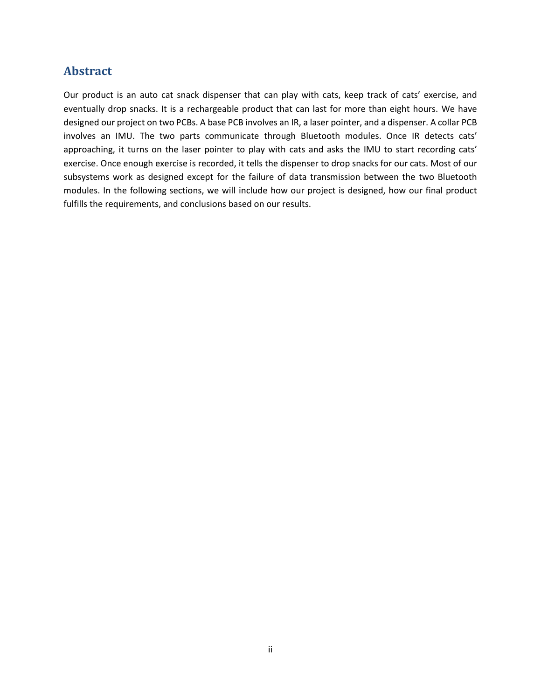### **Abstract**

Our product is an auto cat snack dispenser that can play with cats, keep track of cats' exercise, and eventually drop snacks. It is a rechargeable product that can last for more than eight hours. We have designed our project on two PCBs. A base PCB involves an IR, a laser pointer, and a dispenser. A collar PCB involves an IMU. The two parts communicate through Bluetooth modules. Once IR detects cats' approaching, it turns on the laser pointer to play with cats and asks the IMU to start recording cats' exercise. Once enough exercise is recorded, it tells the dispenser to drop snacks for our cats. Most of our subsystems work as designed except for the failure of data transmission between the two Bluetooth modules. In the following sections, we will include how our project is designed, how our final product fulfills the requirements, and conclusions based on our results.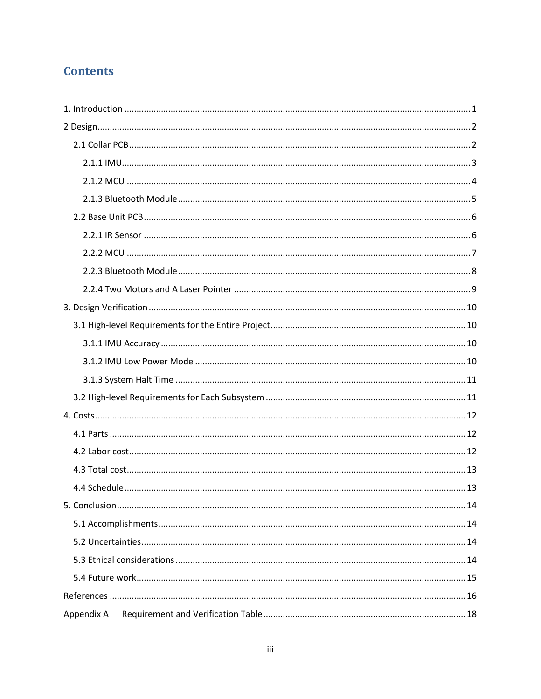# **Contents**

| Appendix A |
|------------|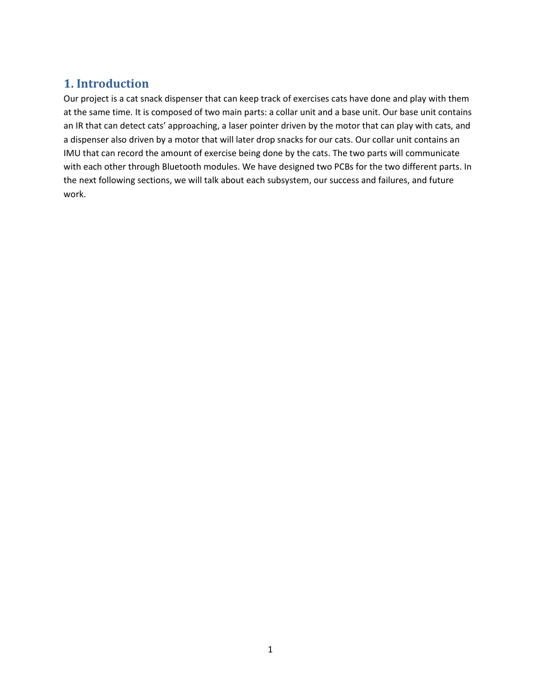### <span id="page-3-0"></span>**1. Introduction**

Our project is a cat snack dispenser that can keep track of exercises cats have done and play with them at the same time. It is composed of two main parts: a collar unit and a base unit. Our base unit contains an IR that can detect cats' approaching, a laser pointer driven by the motor that can play with cats, and a dispenser also driven by a motor that will later drop snacks for our cats. Our collar unit contains an IMU that can record the amount of exercise being done by the cats. The two parts will communicate with each other through Bluetooth modules. We have designed two PCBs for the two different parts. In the next following sections, we will talk about each subsystem, our success and failures, and future work.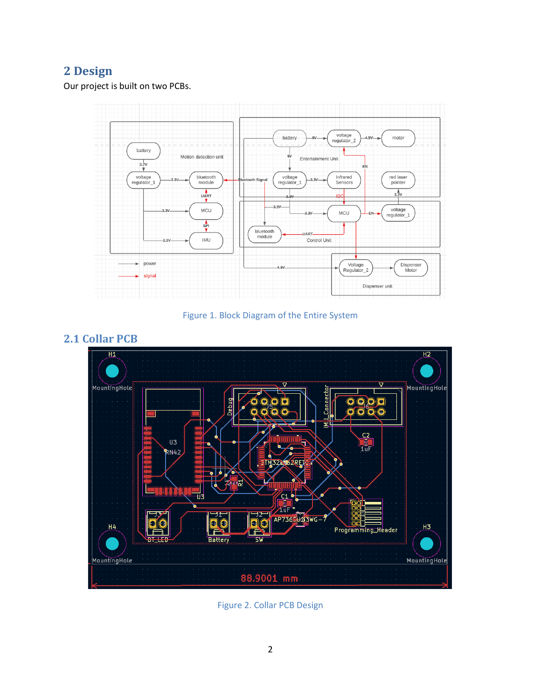## <span id="page-4-0"></span>**2 Design**

Our project is built on two PCBs.



Figure 1. Block Diagram of the Entire System



<span id="page-4-1"></span>**2.1 Collar PCB**

Figure 2. Collar PCB Design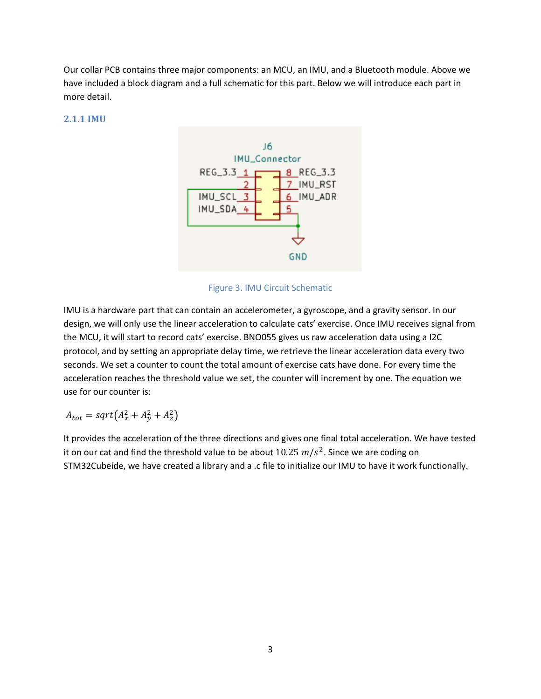Our collar PCB contains three major components: an MCU, an IMU, and a Bluetooth module. Above we have included a block diagram and a full schematic for this part. Below we will introduce each part in more detail.

#### <span id="page-5-0"></span>**2.1.1 IMU**



Figure 3. IMU Circuit Schematic

IMU is a hardware part that can contain an accelerometer, a gyroscope, and a gravity sensor. In our design, we will only use the linear acceleration to calculate cats' exercise. Once IMU receives signal from the MCU, it will start to record cats' exercise. BNO055 gives us raw acceleration data using a I2C protocol, and by setting an appropriate delay time, we retrieve the linear acceleration data every two seconds. We set a counter to count the total amount of exercise cats have done. For every time the acceleration reaches the threshold value we set, the counter will increment by one. The equation we use for our counter is:

$$
A_{tot} = sqrt(A_x^2 + A_y^2 + A_z^2)
$$

It provides the acceleration of the three directions and gives one final total acceleration. We have tested it on our cat and find the threshold value to be about  $10.25$   $m/s^2$ . Since we are coding on STM32Cubeide, we have created a library and a .c file to initialize our IMU to have it work functionally.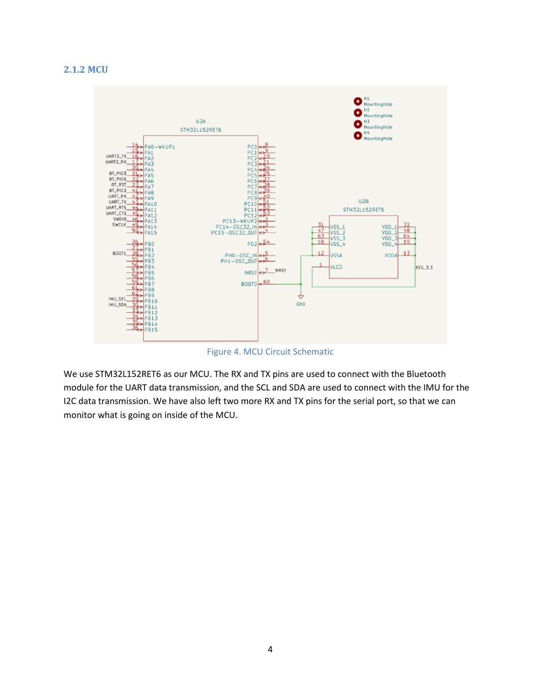#### <span id="page-6-0"></span>**2.1.2 MCU**



Figure 4. MCU Circuit Schematic

We use STM32L152RET6 as our MCU. The RX and TX pins are used to connect with the Bluetooth module for the UART data transmission, and the SCL and SDA are used to connect with the IMU for the I2C data transmission. We have also left two more RX and TX pins for the serial port, so that we can monitor what is going on inside of the MCU.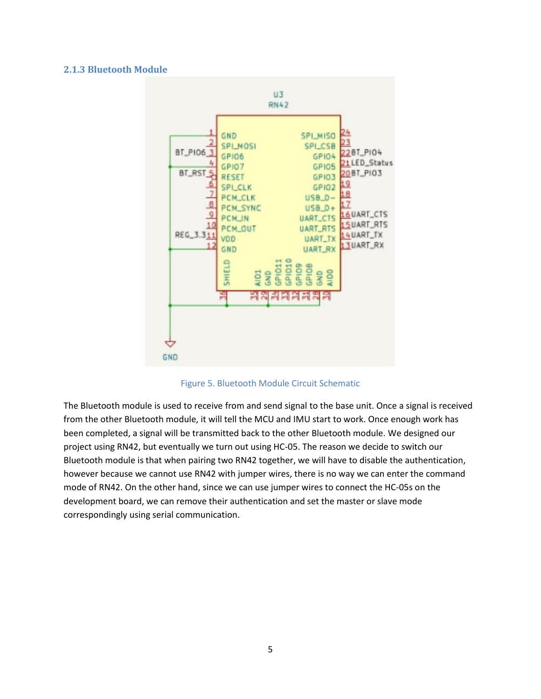#### <span id="page-7-0"></span>**2.1.3 Bluetooth Module**



Figure 5. Bluetooth Module Circuit Schematic

The Bluetooth module is used to receive from and send signal to the base unit. Once a signal is received from the other Bluetooth module, it will tell the MCU and IMU start to work. Once enough work has been completed, a signal will be transmitted back to the other Bluetooth module. We designed our project using RN42, but eventually we turn out using HC-05. The reason we decide to switch our Bluetooth module is that when pairing two RN42 together, we will have to disable the authentication, however because we cannot use RN42 with jumper wires, there is no way we can enter the command mode of RN42. On the other hand, since we can use jumper wires to connect the HC-05s on the development board, we can remove their authentication and set the master or slave mode correspondingly using serial communication.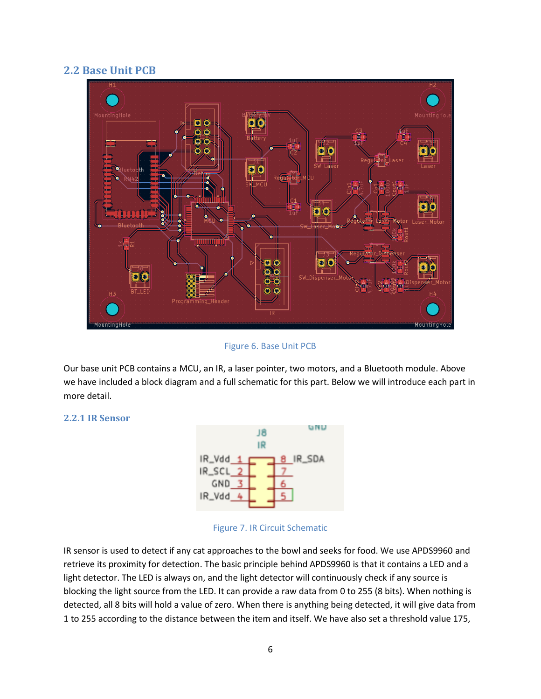#### <span id="page-8-0"></span>**2.2 Base Unit PCB**



Figure 6. Base Unit PCB

Our base unit PCB contains a MCU, an IR, a laser pointer, two motors, and a Bluetooth module. Above we have included a block diagram and a full schematic for this part. Below we will introduce each part in more detail.

#### <span id="page-8-1"></span>**2.2.1 IR Sensor**



#### Figure 7. IR Circuit Schematic

IR sensor is used to detect if any cat approaches to the bowl and seeks for food. We use APDS9960 and retrieve its proximity for detection. The basic principle behind APDS9960 is that it contains a LED and a light detector. The LED is always on, and the light detector will continuously check if any source is blocking the light source from the LED. It can provide a raw data from 0 to 255 (8 bits). When nothing is detected, all 8 bits will hold a value of zero. When there is anything being detected, it will give data from 1 to 255 according to the distance between the item and itself. We have also set a threshold value 175,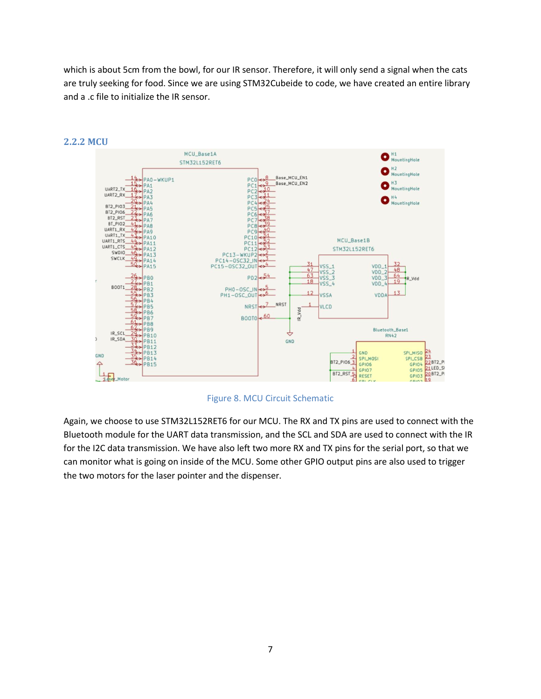which is about 5cm from the bowl, for our IR sensor. Therefore, it will only send a signal when the cats are truly seeking for food. Since we are using STM32Cubeide to code, we have created an entire library and a .c file to initialize the IR sensor.



#### <span id="page-9-0"></span>**2.2.2 MCU**

Figure 8. MCU Circuit Schematic

Again, we choose to use STM32L152RET6 for our MCU. The RX and TX pins are used to connect with the Bluetooth module for the UART data transmission, and the SCL and SDA are used to connect with the IR for the I2C data transmission. We have also left two more RX and TX pins for the serial port, so that we can monitor what is going on inside of the MCU. Some other GPIO output pins are also used to trigger the two motors for the laser pointer and the dispenser.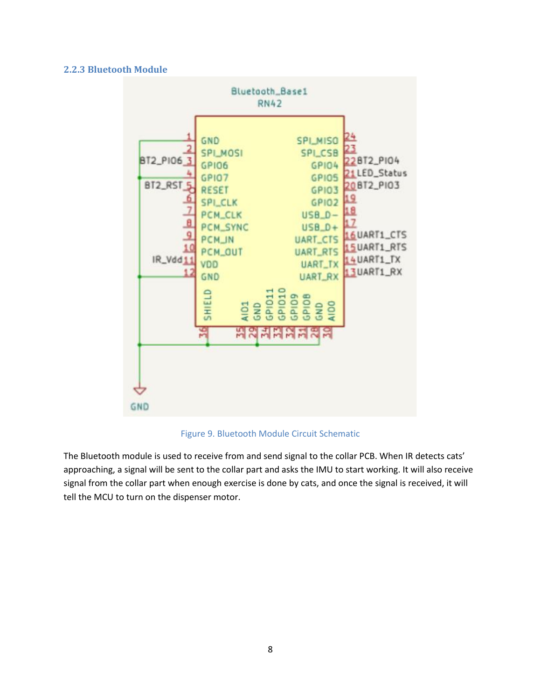#### <span id="page-10-0"></span>**2.2.3 Bluetooth Module**



#### Figure 9. Bluetooth Module Circuit Schematic

The Bluetooth module is used to receive from and send signal to the collar PCB. When IR detects cats' approaching, a signal will be sent to the collar part and asks the IMU to start working. It will also receive signal from the collar part when enough exercise is done by cats, and once the signal is received, it will tell the MCU to turn on the dispenser motor.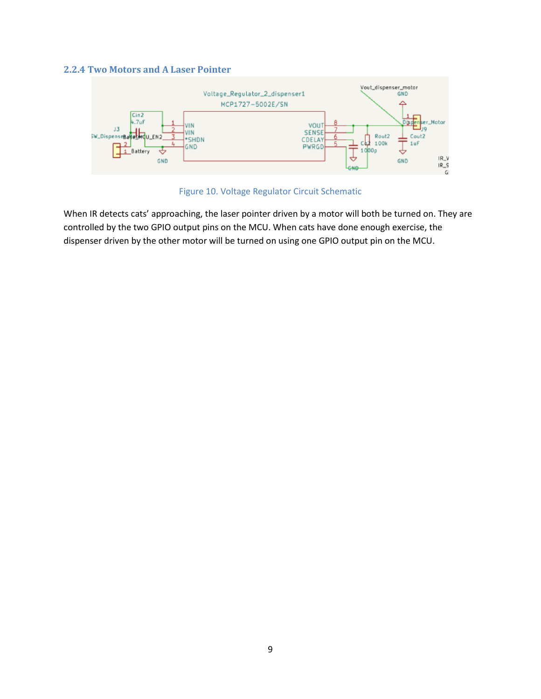#### <span id="page-11-0"></span>**2.2.4 Two Motors and A Laser Pointer**



Figure 10. Voltage Regulator Circuit Schematic

When IR detects cats' approaching, the laser pointer driven by a motor will both be turned on. They are controlled by the two GPIO output pins on the MCU. When cats have done enough exercise, the dispenser driven by the other motor will be turned on using one GPIO output pin on the MCU.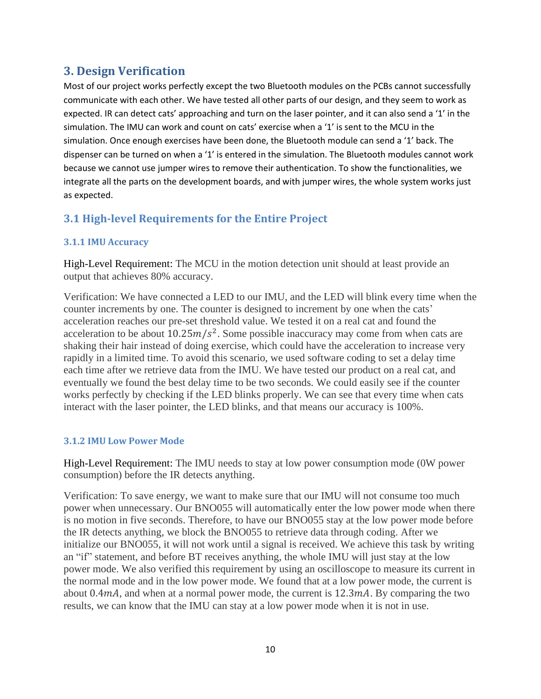### <span id="page-12-0"></span>**3. Design Verification**

Most of our project works perfectly except the two Bluetooth modules on the PCBs cannot successfully communicate with each other. We have tested all other parts of our design, and they seem to work as expected. IR can detect cats' approaching and turn on the laser pointer, and it can also send a '1' in the simulation. The IMU can work and count on cats' exercise when a '1' is sent to the MCU in the simulation. Once enough exercises have been done, the Bluetooth module can send a '1' back. The dispenser can be turned on when a '1' is entered in the simulation. The Bluetooth modules cannot work because we cannot use jumper wires to remove their authentication. To show the functionalities, we integrate all the parts on the development boards, and with jumper wires, the whole system works just as expected.

### <span id="page-12-1"></span>**3.1 High-level Requirements for the Entire Project**

### <span id="page-12-2"></span>**3.1.1 IMU Accuracy**

High-Level Requirement: The MCU in the motion detection unit should at least provide an output that achieves 80% accuracy.

Verification: We have connected a LED to our IMU, and the LED will blink every time when the counter increments by one. The counter is designed to increment by one when the cats' acceleration reaches our pre-set threshold value. We tested it on a real cat and found the acceleration to be about  $10.25m/s^2$ . Some possible inaccuracy may come from when cats are shaking their hair instead of doing exercise, which could have the acceleration to increase very rapidly in a limited time. To avoid this scenario, we used software coding to set a delay time each time after we retrieve data from the IMU. We have tested our product on a real cat, and eventually we found the best delay time to be two seconds. We could easily see if the counter works perfectly by checking if the LED blinks properly. We can see that every time when cats interact with the laser pointer, the LED blinks, and that means our accuracy is 100%.

#### <span id="page-12-3"></span>**3.1.2 IMU Low Power Mode**

High-Level Requirement: The IMU needs to stay at low power consumption mode (0W power consumption) before the IR detects anything.

Verification: To save energy, we want to make sure that our IMU will not consume too much power when unnecessary. Our BNO055 will automatically enter the low power mode when there is no motion in five seconds. Therefore, to have our BNO055 stay at the low power mode before the IR detects anything, we block the BNO055 to retrieve data through coding. After we initialize our BNO055, it will not work until a signal is received. We achieve this task by writing an "if" statement, and before BT receives anything, the whole IMU will just stay at the low power mode. We also verified this requirement by using an oscilloscope to measure its current in the normal mode and in the low power mode. We found that at a low power mode, the current is about 0.4 $\text{mA}$ , and when at a normal power mode, the current is 12.3 $\text{mA}$ . By comparing the two results, we can know that the IMU can stay at a low power mode when it is not in use.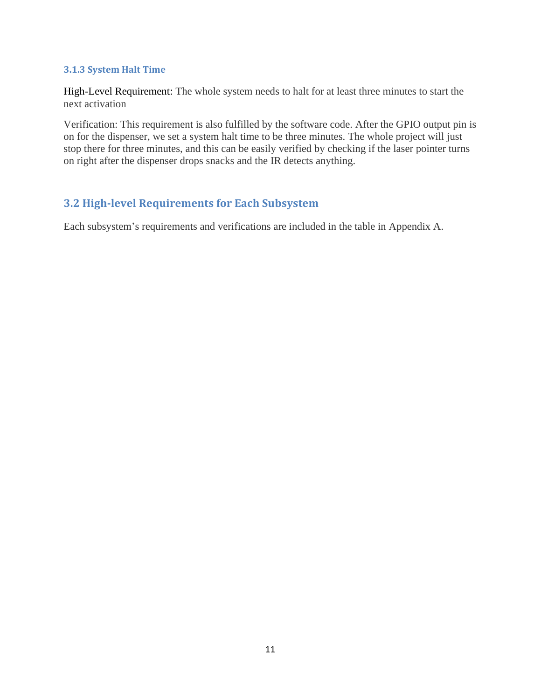#### <span id="page-13-0"></span>**3.1.3 System Halt Time**

High-Level Requirement: The whole system needs to halt for at least three minutes to start the next activation

Verification: This requirement is also fulfilled by the software code. After the GPIO output pin is on for the dispenser, we set a system halt time to be three minutes. The whole project will just stop there for three minutes, and this can be easily verified by checking if the laser pointer turns on right after the dispenser drops snacks and the IR detects anything.

### <span id="page-13-1"></span>**3.2 High-level Requirements for Each Subsystem**

Each subsystem's requirements and verifications are included in the table in Appendix A.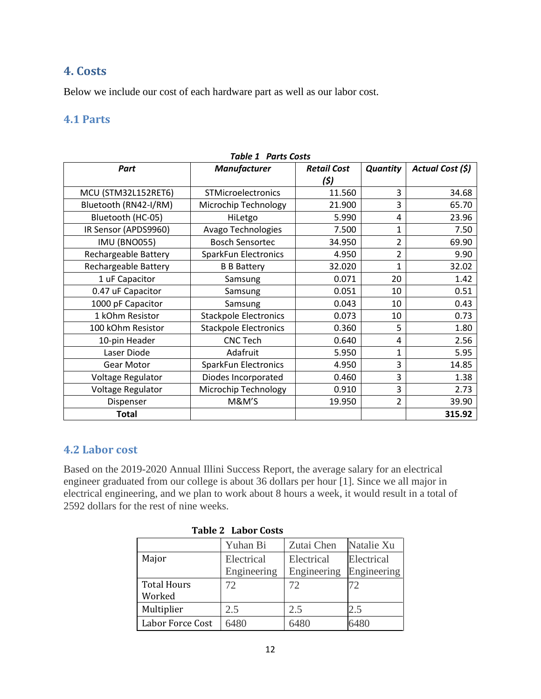### <span id="page-14-0"></span>**4. Costs**

Below we include our cost of each hardware part as well as our labor cost.

### <span id="page-14-1"></span>**4.1 Parts**

| Part                        | <b>Manufacturer</b>          | <b>Retail Cost</b> | Quantity       | Actual Cost (\$) |
|-----------------------------|------------------------------|--------------------|----------------|------------------|
|                             |                              | (\$)               |                |                  |
| MCU (STM32L152RET6)         | <b>STMicroelectronics</b>    | 11.560             | 3              | 34.68            |
| Bluetooth (RN42-I/RM)       | Microchip Technology         | 21.900             | 3              | 65.70            |
| Bluetooth (HC-05)           | HiLetgo                      | 5.990              | 4              | 23.96            |
| IR Sensor (APDS9960)        | Avago Technologies           | 7.500              | 1              | 7.50             |
| <b>IMU (BNO055)</b>         | <b>Bosch Sensortec</b>       | 34.950             | 2              | 69.90            |
| <b>Rechargeable Battery</b> | <b>SparkFun Electronics</b>  | 4.950              | $\overline{2}$ | 9.90             |
| Rechargeable Battery        | <b>B B Battery</b>           | 32.020             | $\mathbf{1}$   | 32.02            |
| 1 uF Capacitor              | Samsung                      | 0.071              | 20             | 1.42             |
| 0.47 uF Capacitor           | Samsung                      | 0.051              | 10             | 0.51             |
| 1000 pF Capacitor           | Samsung                      | 0.043              | 10             | 0.43             |
| 1 kOhm Resistor             | <b>Stackpole Electronics</b> | 0.073              | 10             | 0.73             |
| 100 kOhm Resistor           | <b>Stackpole Electronics</b> | 0.360              | 5              | 1.80             |
| 10-pin Header               | <b>CNC Tech</b>              | 0.640              | 4              | 2.56             |
| Laser Diode                 | Adafruit                     | 5.950              | $\mathbf{1}$   | 5.95             |
| Gear Motor                  | <b>SparkFun Electronics</b>  | 4.950              | 3              | 14.85            |
| Voltage Regulator           | Diodes Incorporated          | 0.460              | 3              | 1.38             |
| Voltage Regulator           | Microchip Technology         | 0.910              | 3              | 2.73             |
| Dispenser                   | M&M'S                        | 19.950             | $\overline{2}$ | 39.90            |
| <b>Total</b>                |                              |                    |                | 315.92           |

#### *Table 1 Parts Costs*

### <span id="page-14-2"></span>**4.2 Labor cost**

Based on the 2019-2020 Annual Illini Success Report, the average salary for an electrical engineer graduated from our college is about 36 dollars per hour [1]. Since we all major in electrical engineering, and we plan to work about 8 hours a week, it would result in a total of 2592 dollars for the rest of nine weeks.

|                              | Yuhan Bi    | Zutai Chen  | Natalie Xu  |
|------------------------------|-------------|-------------|-------------|
| Major                        | Electrical  | Electrical  | Electrical  |
|                              | Engineering | Engineering | Engineering |
| <b>Total Hours</b><br>Worked | 72          | 72          | 72          |
| Multiplier                   | 2.5         | 2.5         | 2.5         |
| Labor Force Cost             | 6480        | 6480        | 6480        |

**Table 2 Labor Costs**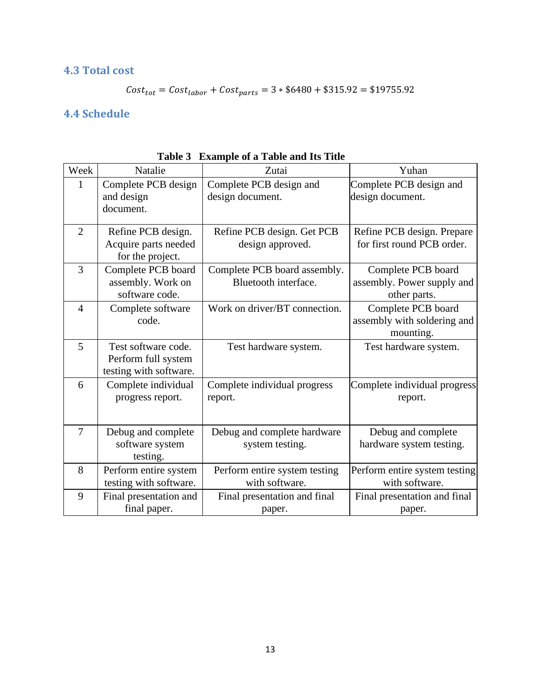### <span id="page-15-0"></span>**4.3 Total cost**

$$
Cost_{tot} = Cost_{labor} + Cost_{parts} = 3 * $6480 + $315.92 = $19755.92
$$

### <span id="page-15-1"></span>**4.4 Schedule**

| Week           | Natalie                                                              | Zutai                                                | Yuhan                                                            |
|----------------|----------------------------------------------------------------------|------------------------------------------------------|------------------------------------------------------------------|
| 1              | Complete PCB design<br>and design<br>document.                       | Complete PCB design and<br>design document.          | Complete PCB design and<br>design document.                      |
| $\overline{2}$ | Refine PCB design.<br>Acquire parts needed<br>for the project.       | Refine PCB design. Get PCB<br>design approved.       | Refine PCB design. Prepare<br>for first round PCB order.         |
| $\overline{3}$ | Complete PCB board<br>assembly. Work on<br>software code.            | Complete PCB board assembly.<br>Bluetooth interface. | Complete PCB board<br>assembly. Power supply and<br>other parts. |
| $\overline{4}$ | Complete software<br>code.                                           | Work on driver/BT connection.                        | Complete PCB board<br>assembly with soldering and<br>mounting.   |
| 5              | Test software code.<br>Perform full system<br>testing with software. | Test hardware system.                                | Test hardware system.                                            |
| 6              | Complete individual<br>progress report.                              | Complete individual progress<br>report.              | Complete individual progress<br>report.                          |
| $\overline{7}$ | Debug and complete<br>software system<br>testing.                    | Debug and complete hardware<br>system testing.       | Debug and complete<br>hardware system testing.                   |
| 8              | Perform entire system<br>testing with software.                      | Perform entire system testing<br>with software.      | Perform entire system testing<br>with software.                  |
| 9              | Final presentation and<br>final paper.                               | Final presentation and final<br>paper.               | Final presentation and final<br>paper.                           |

**Table 3 Example of a Table and Its Title**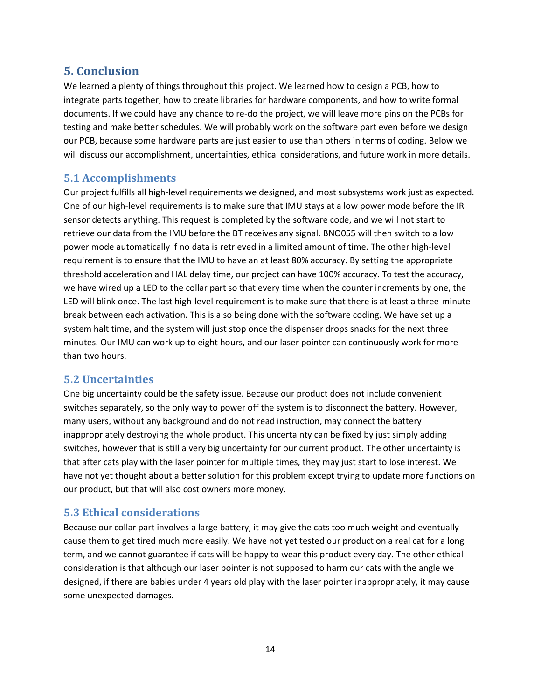### <span id="page-16-0"></span>**5. Conclusion**

We learned a plenty of things throughout this project. We learned how to design a PCB, how to integrate parts together, how to create libraries for hardware components, and how to write formal documents. If we could have any chance to re-do the project, we will leave more pins on the PCBs for testing and make better schedules. We will probably work on the software part even before we design our PCB, because some hardware parts are just easier to use than others in terms of coding. Below we will discuss our accomplishment, uncertainties, ethical considerations, and future work in more details.

### <span id="page-16-1"></span>**5.1 Accomplishments**

Our project fulfills all high-level requirements we designed, and most subsystems work just as expected. One of our high-level requirements is to make sure that IMU stays at a low power mode before the IR sensor detects anything. This request is completed by the software code, and we will not start to retrieve our data from the IMU before the BT receives any signal. BNO055 will then switch to a low power mode automatically if no data is retrieved in a limited amount of time. The other high-level requirement is to ensure that the IMU to have an at least 80% accuracy. By setting the appropriate threshold acceleration and HAL delay time, our project can have 100% accuracy. To test the accuracy, we have wired up a LED to the collar part so that every time when the counter increments by one, the LED will blink once. The last high-level requirement is to make sure that there is at least a three-minute break between each activation. This is also being done with the software coding. We have set up a system halt time, and the system will just stop once the dispenser drops snacks for the next three minutes. Our IMU can work up to eight hours, and our laser pointer can continuously work for more than two hours.

### <span id="page-16-2"></span>**5.2 Uncertainties**

One big uncertainty could be the safety issue. Because our product does not include convenient switches separately, so the only way to power off the system is to disconnect the battery. However, many users, without any background and do not read instruction, may connect the battery inappropriately destroying the whole product. This uncertainty can be fixed by just simply adding switches, however that is still a very big uncertainty for our current product. The other uncertainty is that after cats play with the laser pointer for multiple times, they may just start to lose interest. We have not yet thought about a better solution for this problem except trying to update more functions on our product, but that will also cost owners more money.

### <span id="page-16-3"></span>**5.3 Ethical considerations**

Because our collar part involves a large battery, it may give the cats too much weight and eventually cause them to get tired much more easily. We have not yet tested our product on a real cat for a long term, and we cannot guarantee if cats will be happy to wear this product every day. The other ethical consideration is that although our laser pointer is not supposed to harm our cats with the angle we designed, if there are babies under 4 years old play with the laser pointer inappropriately, it may cause some unexpected damages.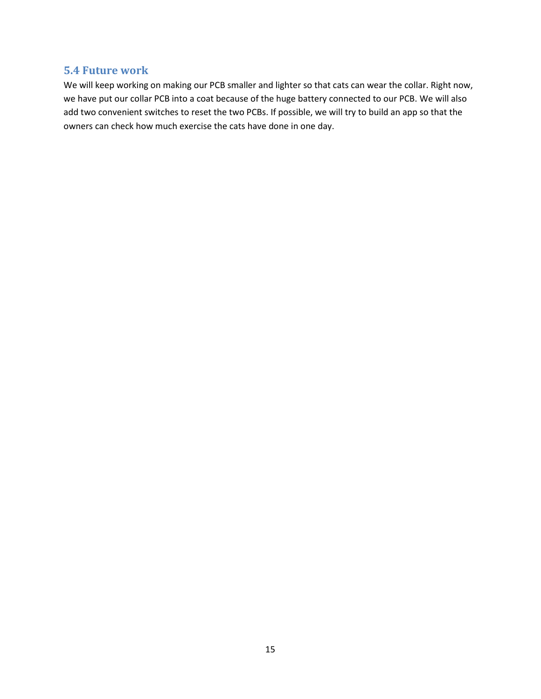### <span id="page-17-0"></span>**5.4 Future work**

We will keep working on making our PCB smaller and lighter so that cats can wear the collar. Right now, we have put our collar PCB into a coat because of the huge battery connected to our PCB. We will also add two convenient switches to reset the two PCBs. If possible, we will try to build an app so that the owners can check how much exercise the cats have done in one day.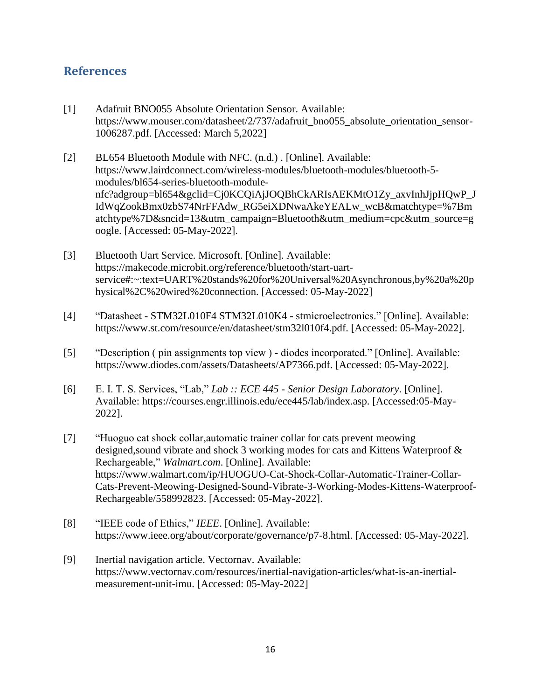### <span id="page-18-0"></span>**References**

- [1] Adafruit BNO055 Absolute Orientation Sensor. Available: https://www.mouser.com/datasheet/2/737/adafruit\_bno055\_absolute\_orientation\_sensor-1006287.pdf. [Accessed: March 5,2022]
- [2] BL654 Bluetooth Module with NFC. (n.d.). [Online]. Available: https://www.lairdconnect.com/wireless-modules/bluetooth-modules/bluetooth-5 modules/bl654-series-bluetooth-modulenfc?adgroup=bl654&gclid=Cj0KCQiAjJOQBhCkARIsAEKMtO1Zy\_axvInhJjpHQwP\_J IdWqZookBmx0zbS74NrFFAdw\_RG5eiXDNwaAkeYEALw\_wcB&matchtype=%7Bm atchtype%7D&sncid=13&utm\_campaign=Bluetooth&utm\_medium=cpc&utm\_source=g oogle. [Accessed: 05-May-2022].
- [3] Bluetooth Uart Service. Microsoft. [Online]. Available: https://makecode.microbit.org/reference/bluetooth/start-uartservice#:~:text=UART%20stands%20for%20Universal%20Asynchronous,by%20a%20p hysical%2C%20wired%20connection. [Accessed: 05-May-2022]
- [4] "Datasheet STM32L010F4 STM32L010K4 stmicroelectronics." [Online]. Available: https://www.st.com/resource/en/datasheet/stm32l010f4.pdf. [Accessed: 05-May-2022].
- [5] "Description ( pin assignments top view ) diodes incorporated." [Online]. Available: https://www.diodes.com/assets/Datasheets/AP7366.pdf. [Accessed: 05-May-2022].
- [6] E. I. T. S. Services, "Lab," *Lab :: ECE 445 - Senior Design Laboratory*. [Online]. Available: https://courses.engr.illinois.edu/ece445/lab/index.asp. [Accessed:05-May-2022].
- [7] "Huoguo cat shock collar,automatic trainer collar for cats prevent meowing designed,sound vibrate and shock 3 working modes for cats and Kittens Waterproof & Rechargeable," *Walmart.com*. [Online]. Available: https://www.walmart.com/ip/HUOGUO-Cat-Shock-Collar-Automatic-Trainer-Collar-Cats-Prevent-Meowing-Designed-Sound-Vibrate-3-Working-Modes-Kittens-Waterproof-Rechargeable/558992823. [Accessed: 05-May-2022].
- [8] "IEEE code of Ethics," *IEEE*. [Online]. Available: https://www.ieee.org/about/corporate/governance/p7-8.html. [Accessed: 05-May-2022].
- [9] Inertial navigation article. Vectornav. Available: https://www.vectornav.com/resources/inertial-navigation-articles/what-is-an-inertialmeasurement-unit-imu. [Accessed: 05-May-2022]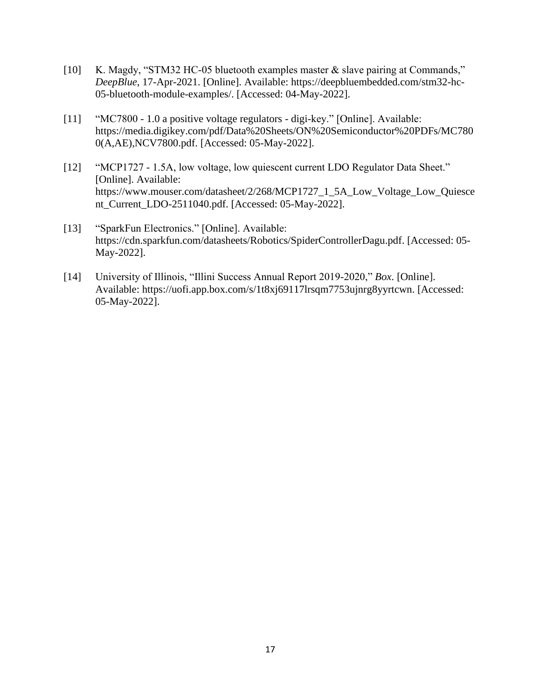- [10] K. Magdy, "STM32 HC-05 bluetooth examples master & slave pairing at Commands," *DeepBlue*, 17-Apr-2021. [Online]. Available: https://deepbluembedded.com/stm32-hc-05-bluetooth-module-examples/. [Accessed: 04-May-2022].
- [11] "MC7800 1.0 a positive voltage regulators digi-key." [Online]. Available: https://media.digikey.com/pdf/Data%20Sheets/ON%20Semiconductor%20PDFs/MC780 0(A,AE),NCV7800.pdf. [Accessed: 05-May-2022].
- [12] "MCP1727 1.5A, low voltage, low quiescent current LDO Regulator Data Sheet." [Online]. Available: https://www.mouser.com/datasheet/2/268/MCP1727\_1\_5A\_Low\_Voltage\_Low\_Quiesce nt\_Current\_LDO-2511040.pdf. [Accessed: 05-May-2022].
- [13] "SparkFun Electronics." [Online]. Available: https://cdn.sparkfun.com/datasheets/Robotics/SpiderControllerDagu.pdf. [Accessed: 05- May-2022].
- [14] University of Illinois, "Illini Success Annual Report 2019-2020," *Box*. [Online]. Available: https://uofi.app.box.com/s/1t8xj69117lrsqm7753ujnrg8yyrtcwn. [Accessed: 05-May-2022].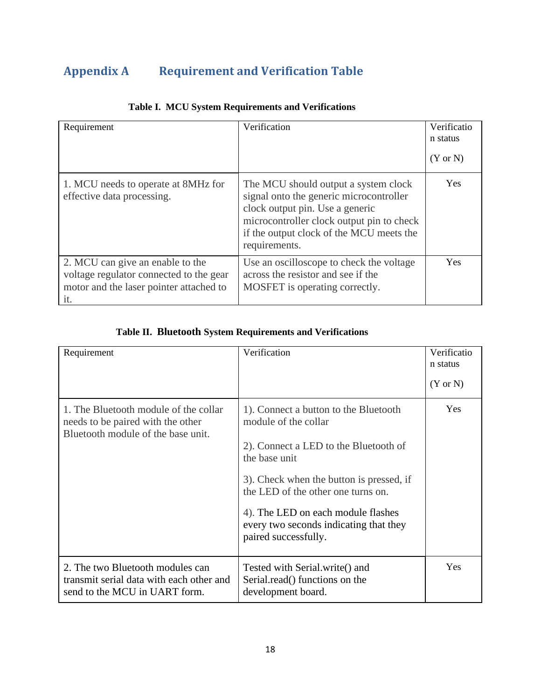# <span id="page-20-0"></span>**Appendix A Requirement and Verification Table**

| Requirement                                                                                                                   | Verification                                                                                                                                                                                                                 | Verificatio<br>n status<br>$(Y \text{ or } N)$ |
|-------------------------------------------------------------------------------------------------------------------------------|------------------------------------------------------------------------------------------------------------------------------------------------------------------------------------------------------------------------------|------------------------------------------------|
| 1. MCU needs to operate at 8MHz for<br>effective data processing.                                                             | The MCU should output a system clock<br>signal onto the generic microcontroller<br>clock output pin. Use a generic<br>microcontroller clock output pin to check<br>if the output clock of the MCU meets the<br>requirements. | <b>Yes</b>                                     |
| 2. MCU can give an enable to the<br>voltage regulator connected to the gear<br>motor and the laser pointer attached to<br>it. | Use an oscilloscope to check the voltage<br>across the resistor and see if the<br>MOSFET is operating correctly.                                                                                                             | Yes                                            |

### **Table I. MCU System Requirements and Verifications**

### **Table II. Bluetooth System Requirements and Verifications**

| Requirement                                                                                                      | Verification                                                                                                                                                                                                                                                                                                      | Verificatio<br>n status<br>$(Y \text{ or } N)$ |
|------------------------------------------------------------------------------------------------------------------|-------------------------------------------------------------------------------------------------------------------------------------------------------------------------------------------------------------------------------------------------------------------------------------------------------------------|------------------------------------------------|
| 1. The Bluetooth module of the collar<br>needs to be paired with the other<br>Bluetooth module of the base unit. | 1). Connect a button to the Bluetooth<br>module of the collar<br>2). Connect a LED to the Bluetooth of<br>the base unit<br>3). Check when the button is pressed, if<br>the LED of the other one turns on.<br>4). The LED on each module flashes<br>every two seconds indicating that they<br>paired successfully. | Yes                                            |
| 2. The two Bluetooth modules can<br>transmit serial data with each other and<br>send to the MCU in UART form.    | Tested with Serial.write() and<br>Serial.read() functions on the<br>development board.                                                                                                                                                                                                                            | Yes                                            |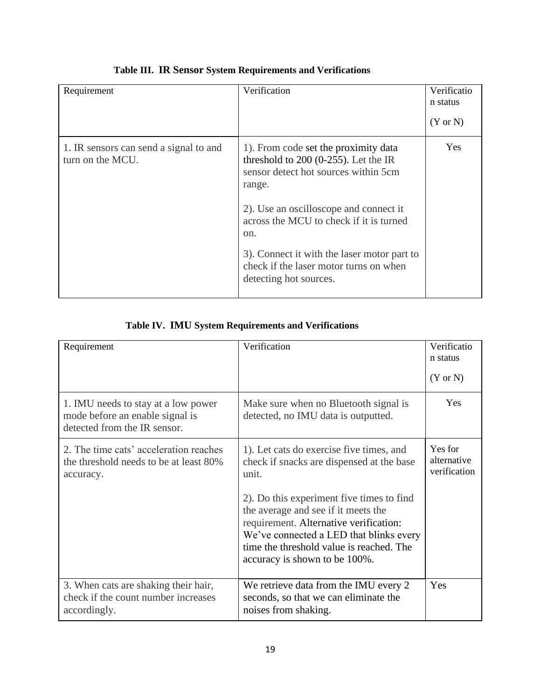| Requirement                                                | Verification                                                                                                                                                                                                                                                                                                                                    | Verificatio<br>n status<br>$(Y \text{ or } N)$ |
|------------------------------------------------------------|-------------------------------------------------------------------------------------------------------------------------------------------------------------------------------------------------------------------------------------------------------------------------------------------------------------------------------------------------|------------------------------------------------|
| 1. IR sensors can send a signal to and<br>turn on the MCU. | 1). From code set the proximity data<br>threshold to $200$ (0-255). Let the IR<br>sensor detect hot sources within 5cm<br>range.<br>2). Use an oscilloscope and connect it<br>across the MCU to check if it is turned<br>on.<br>3). Connect it with the laser motor part to<br>check if the laser motor turns on when<br>detecting hot sources. | <b>Yes</b>                                     |

### **Table III. IR Sensor System Requirements and Verifications**

### **Table IV. IMU System Requirements and Verifications**

| Requirement                                                                                            | Verification                                                                                                                                                                                                                                                                                                                                         | Verificatio<br>n status<br>$(Y \text{ or } N)$ |
|--------------------------------------------------------------------------------------------------------|------------------------------------------------------------------------------------------------------------------------------------------------------------------------------------------------------------------------------------------------------------------------------------------------------------------------------------------------------|------------------------------------------------|
| 1. IMU needs to stay at a low power<br>mode before an enable signal is<br>detected from the IR sensor. | Make sure when no Bluetooth signal is<br>detected, no IMU data is outputted.                                                                                                                                                                                                                                                                         | Yes                                            |
| 2. The time cats' acceleration reaches<br>the threshold needs to be at least 80%<br>accuracy.          | 1). Let cats do exercise five times, and<br>check if snacks are dispensed at the base<br>unit.<br>2). Do this experiment five times to find<br>the average and see if it meets the<br>requirement. Alternative verification:<br>We've connected a LED that blinks every<br>time the threshold value is reached. The<br>accuracy is shown to be 100%. | Yes for<br>alternative<br>verification         |
| 3. When cats are shaking their hair,<br>check if the count number increases<br>accordingly.            | We retrieve data from the IMU every 2<br>seconds, so that we can eliminate the<br>noises from shaking.                                                                                                                                                                                                                                               | Yes                                            |